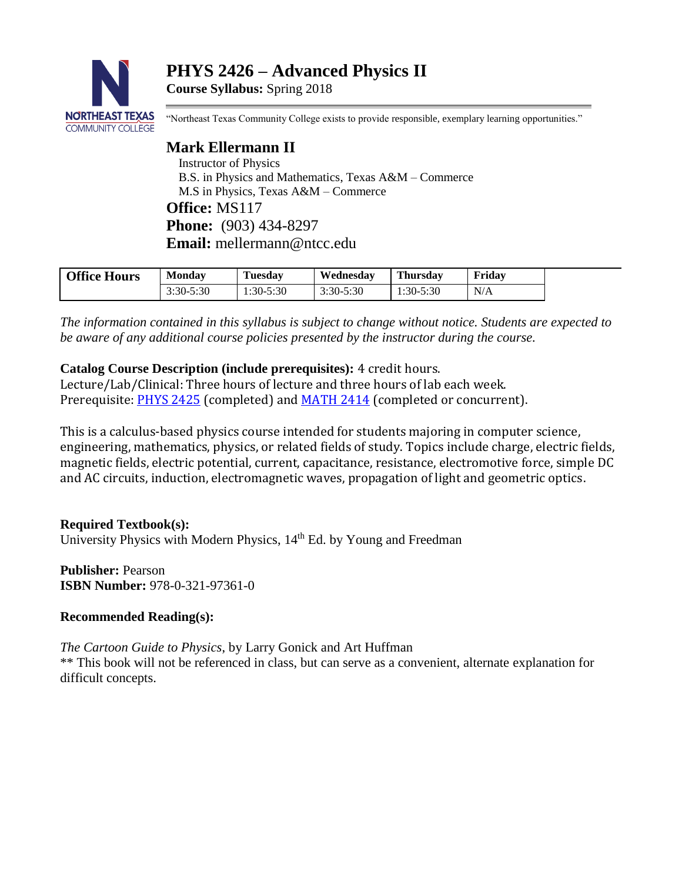**PHYS 2426 – Advanced Physics II**

**Course Syllabus:** Spring 2018



"Northeast Texas Community College exists to provide responsible, exemplary learning opportunities."

**Mark Ellermann II** Instructor of Physics B.S. in Physics and Mathematics, Texas A&M – Commerce M.S in Physics, Texas A&M – Commerce **Office:** MS117 **Phone:** (903) 434-8297 **Email:** mellermann@ntcc.edu

| <b>Office Hours</b> | <b>Monday</b> | <b>Tuesday</b> | Wednesdav     | <b>Thursday</b> | Fridav |  |
|---------------------|---------------|----------------|---------------|-----------------|--------|--|
|                     | 3:30-5:30     | $1:30-5:30$    | $3:30 - 5:30$ | 1:30-5:30       | N/A    |  |

*The information contained in this syllabus is subject to change without notice. Students are expected to be aware of any additional course policies presented by the instructor during the course.*

**Catalog Course Description (include prerequisites):** 4 credit hours.

Lecture/Lab/Clinical: Three hours of lecture and three hours of lab each week. Prerequisite: [PHYS 2425](http://catalog.ntcc.edu/content.php?catoid=4&catoid=4&navoid=790&filter%5Bitem_type%5D=3&filter%5Bonly_active%5D=1&filter%5B3%5D=1&filter%5Bcpage%5D=6#tt9479) (completed) and [MATH 2414](http://catalog.ntcc.edu/content.php?catoid=4&catoid=4&navoid=790&filter%5Bitem_type%5D=3&filter%5Bonly_active%5D=1&filter%5B3%5D=1&filter%5Bcpage%5D=6#tt2827) (completed or concurrent).

This is a calculus-based physics course intended for students majoring in computer science, engineering, mathematics, physics, or related fields of study. Topics include charge, electric fields, magnetic fields, electric potential, current, capacitance, resistance, electromotive force, simple DC and AC circuits, induction, electromagnetic waves, propagation of light and geometric optics.

**Required Textbook(s):**

University Physics with Modern Physics,  $14<sup>th</sup>$  Ed. by Young and Freedman

**Publisher:** Pearson **ISBN Number:** 978-0-321-97361-0

## **Recommended Reading(s):**

*The Cartoon Guide to Physics*, by Larry Gonick and Art Huffman

\*\* This book will not be referenced in class, but can serve as a convenient, alternate explanation for difficult concepts.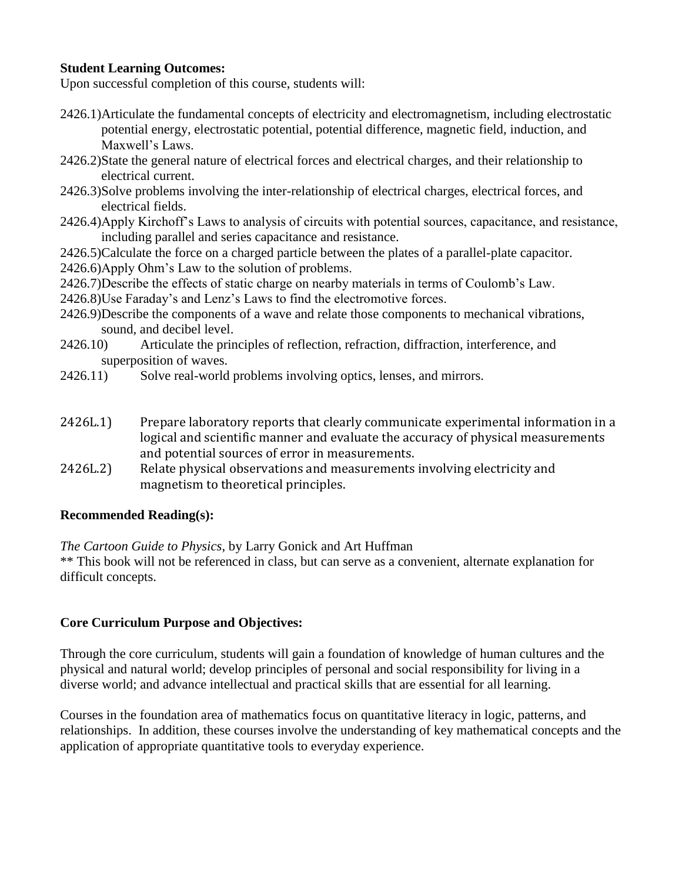## **Student Learning Outcomes:**

Upon successful completion of this course, students will:

- 2426.1)Articulate the fundamental concepts of electricity and electromagnetism, including electrostatic potential energy, electrostatic potential, potential difference, magnetic field, induction, and Maxwell's Laws.
- 2426.2)State the general nature of electrical forces and electrical charges, and their relationship to electrical current.
- 2426.3)Solve problems involving the inter-relationship of electrical charges, electrical forces, and electrical fields.
- 2426.4)Apply Kirchoff's Laws to analysis of circuits with potential sources, capacitance, and resistance, including parallel and series capacitance and resistance.
- 2426.5)Calculate the force on a charged particle between the plates of a parallel-plate capacitor.
- 2426.6)Apply Ohm's Law to the solution of problems.
- 2426.7)Describe the effects of static charge on nearby materials in terms of Coulomb's Law.
- 2426.8)Use Faraday's and Lenz's Laws to find the electromotive forces.
- 2426.9)Describe the components of a wave and relate those components to mechanical vibrations, sound, and decibel level.
- 2426.10) Articulate the principles of reflection, refraction, diffraction, interference, and superposition of waves.
- 2426.11) Solve real-world problems involving optics, lenses, and mirrors.
- 2426L.1) Prepare laboratory reports that clearly communicate experimental information in a logical and scientific manner and evaluate the accuracy of physical measurements and potential sources of error in measurements.
- 2426L.2) Relate physical observations and measurements involving electricity and magnetism to theoretical principles.

### **Recommended Reading(s):**

*The Cartoon Guide to Physics*, by Larry Gonick and Art Huffman

\*\* This book will not be referenced in class, but can serve as a convenient, alternate explanation for difficult concepts.

## **Core Curriculum Purpose and Objectives:**

Through the core curriculum, students will gain a foundation of knowledge of human cultures and the physical and natural world; develop principles of personal and social responsibility for living in a diverse world; and advance intellectual and practical skills that are essential for all learning.

Courses in the foundation area of mathematics focus on quantitative literacy in logic, patterns, and relationships. In addition, these courses involve the understanding of key mathematical concepts and the application of appropriate quantitative tools to everyday experience.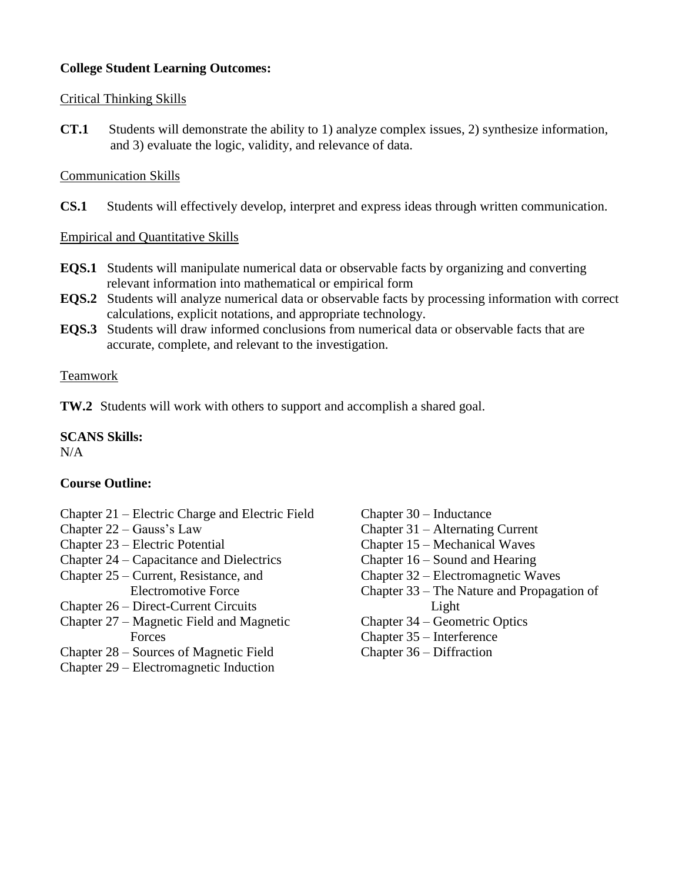# **College Student Learning Outcomes:**

## Critical Thinking Skills

**CT.1** Students will demonstrate the ability to 1) analyze complex issues, 2) synthesize information, and 3) evaluate the logic, validity, and relevance of data.

## Communication Skills

**CS.1** Students will effectively develop, interpret and express ideas through written communication.

Empirical and Quantitative Skills

- **EQS.1** Students will manipulate numerical data or observable facts by organizing and converting relevant information into mathematical or empirical form
- **EQS.2** Students will analyze numerical data or observable facts by processing information with correct calculations, explicit notations, and appropriate technology.
- **EQS.3** Students will draw informed conclusions from numerical data or observable facts that are accurate, complete, and relevant to the investigation.

## Teamwork

**TW.2** Students will work with others to support and accomplish a shared goal.

#### **SCANS Skills:**  $N/A$

## **Course Outline:**

- Chapter 21 Electric Charge and Electric Field
- Chapter 22 Gauss's Law
- Chapter 23 Electric Potential
- Chapter 24 Capacitance and Dielectrics
- Chapter 25 Current, Resistance, and Electromotive Force
- Chapter 26 Direct-Current Circuits
- Chapter 27 Magnetic Field and Magnetic Forces
- Chapter 28 Sources of Magnetic Field
- Chapter 29 Electromagnetic Induction
- Chapter 30 Inductance
- Chapter 31 Alternating Current
- Chapter 15 Mechanical Waves
- Chapter 16 Sound and Hearing
- Chapter 32 Electromagnetic Waves
- Chapter 33 The Nature and Propagation of Light
- Chapter 34 Geometric Optics
- Chapter 35 Interference
- Chapter 36 Diffraction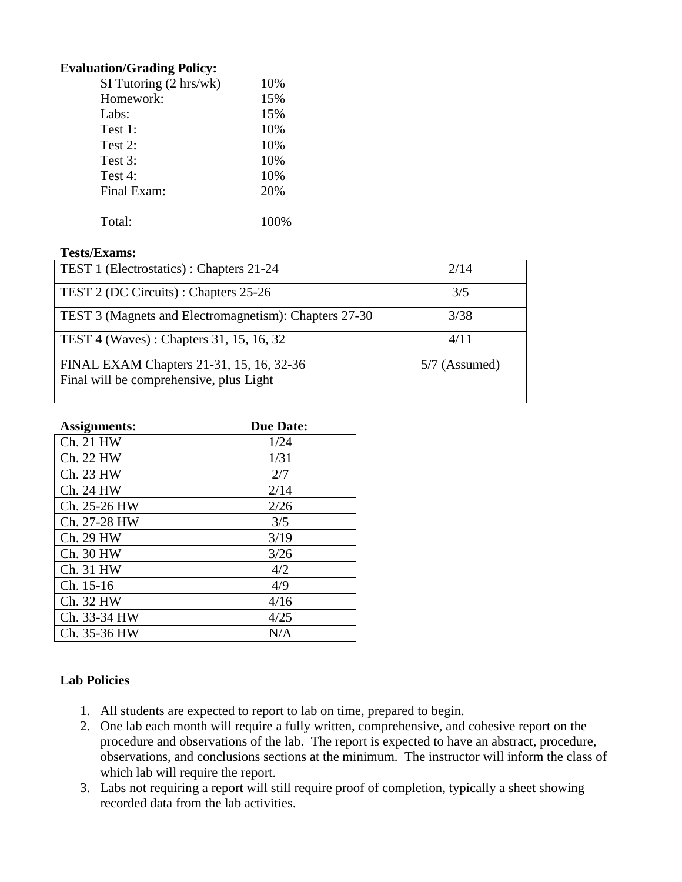### **Evaluation/Grading Policy:**

| $SI$ Tutoring $(2 \text{ hrs}/wk)$ | 10%   |
|------------------------------------|-------|
| Homework:                          | 15%   |
| Labs:                              | 15%   |
| Test 1:                            | 10%   |
| Test 2:                            | 10%   |
| Test 3:                            | 10%   |
| Test 4:                            | 10%   |
| Final Exam:                        | 20%   |
|                                    |       |
| Total:                             | 100\% |
|                                    |       |

## **Tests/Exams:**

| TEST 1 (Electrostatics) : Chapters 21-24                                            | 2/14            |
|-------------------------------------------------------------------------------------|-----------------|
| TEST 2 (DC Circuits): Chapters 25-26                                                | 3/5             |
| TEST 3 (Magnets and Electromagnetism): Chapters 27-30                               | 3/38            |
| TEST 4 (Waves): Chapters 31, 15, 16, 32                                             | 4/11            |
| FINAL EXAM Chapters 21-31, 15, 16, 32-36<br>Final will be comprehensive, plus Light | $5/7$ (Assumed) |

| Assignments: | <b>Due Date:</b> |
|--------------|------------------|
| Ch. 21 HW    | 1/24             |
| Ch. 22 HW    | 1/31             |
| Ch. 23 HW    | 2/7              |
| Ch. 24 HW    | 2/14             |
| Ch. 25-26 HW | 2/26             |
| Ch. 27-28 HW | 3/5              |
| Ch. 29 HW    | 3/19             |
| Ch. 30 HW    | 3/26             |
| Ch. 31 HW    | 4/2              |
| Ch. 15-16    | 4/9              |
| Ch. 32 HW    | 4/16             |
| Ch. 33-34 HW | 4/25             |
| Ch. 35-36 HW | N/A              |

# **Lab Policies**

- 1. All students are expected to report to lab on time, prepared to begin.
- 2. One lab each month will require a fully written, comprehensive, and cohesive report on the procedure and observations of the lab. The report is expected to have an abstract, procedure, observations, and conclusions sections at the minimum. The instructor will inform the class of which lab will require the report.
- 3. Labs not requiring a report will still require proof of completion, typically a sheet showing recorded data from the lab activities.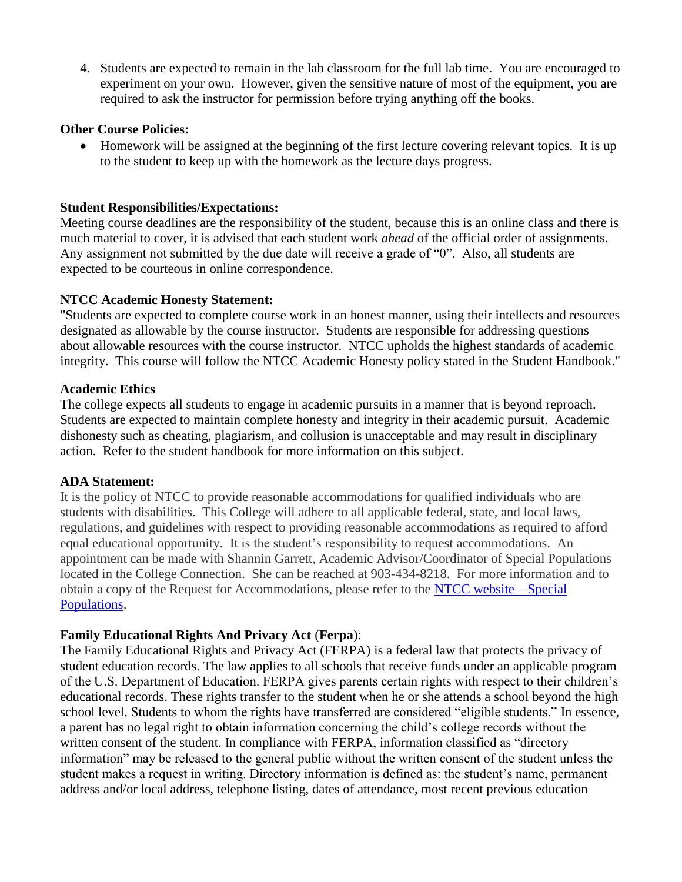4. Students are expected to remain in the lab classroom for the full lab time. You are encouraged to experiment on your own. However, given the sensitive nature of most of the equipment, you are required to ask the instructor for permission before trying anything off the books.

#### **Other Course Policies:**

• Homework will be assigned at the beginning of the first lecture covering relevant topics. It is up to the student to keep up with the homework as the lecture days progress.

#### **Student Responsibilities/Expectations:**

Meeting course deadlines are the responsibility of the student, because this is an online class and there is much material to cover, it is advised that each student work *ahead* of the official order of assignments. Any assignment not submitted by the due date will receive a grade of "0". Also, all students are expected to be courteous in online correspondence.

### **NTCC Academic Honesty Statement:**

"Students are expected to complete course work in an honest manner, using their intellects and resources designated as allowable by the course instructor. Students are responsible for addressing questions about allowable resources with the course instructor. NTCC upholds the highest standards of academic integrity. This course will follow the NTCC Academic Honesty policy stated in the Student Handbook."

#### **Academic Ethics**

The college expects all students to engage in academic pursuits in a manner that is beyond reproach. Students are expected to maintain complete honesty and integrity in their academic pursuit. Academic dishonesty such as cheating, plagiarism, and collusion is unacceptable and may result in disciplinary action. Refer to the student handbook for more information on this subject.

#### **ADA Statement:**

It is the policy of NTCC to provide reasonable accommodations for qualified individuals who are students with disabilities. This College will adhere to all applicable federal, state, and local laws, regulations, and guidelines with respect to providing reasonable accommodations as required to afford equal educational opportunity. It is the student's responsibility to request accommodations. An appointment can be made with Shannin Garrett, Academic Advisor/Coordinator of Special Populations located in the College Connection. She can be reached at 903-434-8218. For more information and to obtain a copy of the Request for Accommodations, please refer to the [NTCC website –](http://www.ntcc.edu/index.php?module=Pagesetter&func=viewpub&tid=111&pid=1) Special [Populations.](http://www.ntcc.edu/index.php?module=Pagesetter&func=viewpub&tid=111&pid=1)

### **Family Educational Rights And Privacy Act** (**Ferpa**):

The Family Educational Rights and Privacy Act (FERPA) is a federal law that protects the privacy of student education records. The law applies to all schools that receive funds under an applicable program of the U.S. Department of Education. FERPA gives parents certain rights with respect to their children's educational records. These rights transfer to the student when he or she attends a school beyond the high school level. Students to whom the rights have transferred are considered "eligible students." In essence, a parent has no legal right to obtain information concerning the child's college records without the written consent of the student. In compliance with FERPA, information classified as "directory information" may be released to the general public without the written consent of the student unless the student makes a request in writing. Directory information is defined as: the student's name, permanent address and/or local address, telephone listing, dates of attendance, most recent previous education